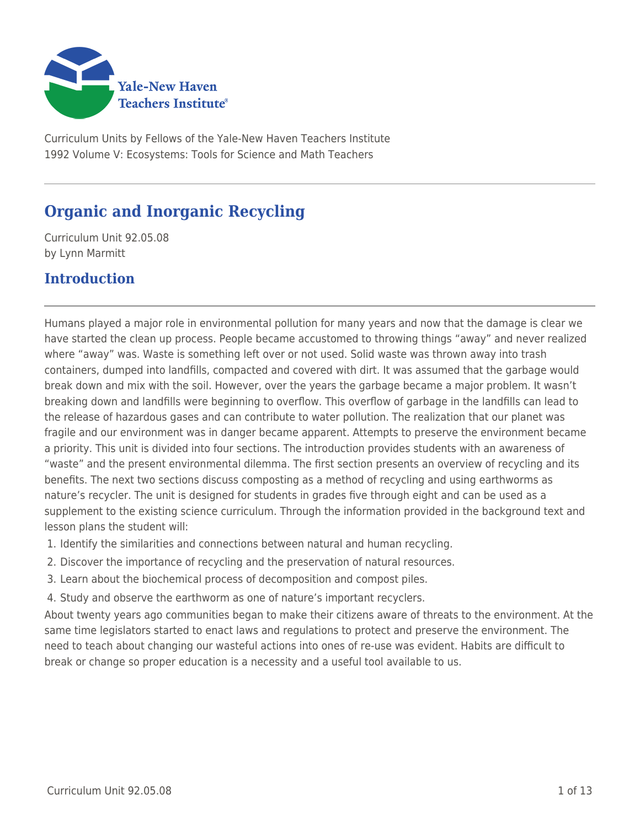

Curriculum Units by Fellows of the Yale-New Haven Teachers Institute 1992 Volume V: Ecosystems: Tools for Science and Math Teachers

# **Organic and Inorganic Recycling**

Curriculum Unit 92.05.08 by Lynn Marmitt

## **Introduction**

Humans played a major role in environmental pollution for many years and now that the damage is clear we have started the clean up process. People became accustomed to throwing things "away" and never realized where "away" was. Waste is something left over or not used. Solid waste was thrown away into trash containers, dumped into landfills, compacted and covered with dirt. It was assumed that the garbage would break down and mix with the soil. However, over the years the garbage became a major problem. It wasn't breaking down and landfills were beginning to overflow. This overflow of garbage in the landfills can lead to the release of hazardous gases and can contribute to water pollution. The realization that our planet was fragile and our environment was in danger became apparent. Attempts to preserve the environment became a priority. This unit is divided into four sections. The introduction provides students with an awareness of "waste" and the present environmental dilemma. The first section presents an overview of recycling and its benefits. The next two sections discuss composting as a method of recycling and using earthworms as nature's recycler. The unit is designed for students in grades five through eight and can be used as a supplement to the existing science curriculum. Through the information provided in the background text and lesson plans the student will:

- 1. Identify the similarities and connections between natural and human recycling.
- 2. Discover the importance of recycling and the preservation of natural resources.
- 3. Learn about the biochemical process of decomposition and compost piles.
- 4. Study and observe the earthworm as one of nature's important recyclers.

About twenty years ago communities began to make their citizens aware of threats to the environment. At the same time legislators started to enact laws and regulations to protect and preserve the environment. The need to teach about changing our wasteful actions into ones of re-use was evident. Habits are difficult to break or change so proper education is a necessity and a useful tool available to us.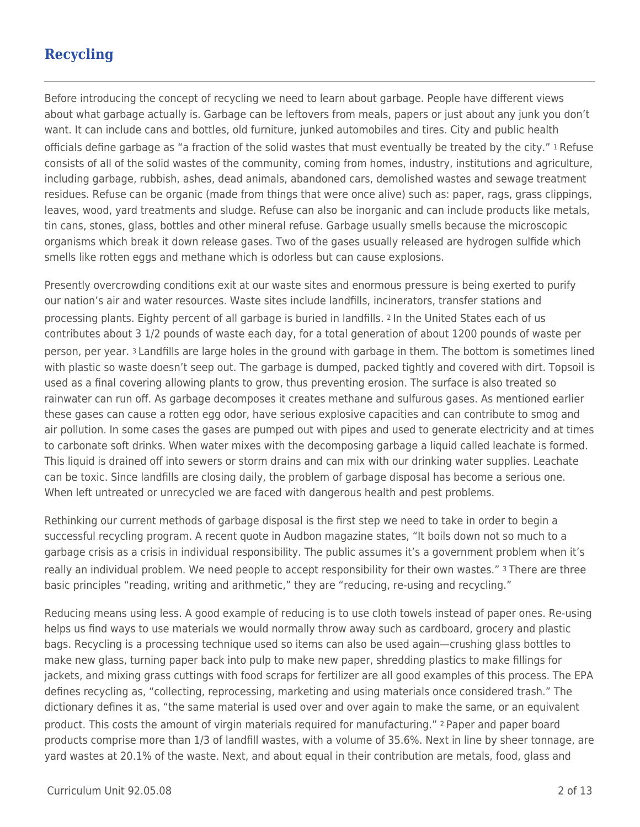# **Recycling**

Before introducing the concept of recycling we need to learn about garbage. People have different views about what garbage actually is. Garbage can be leftovers from meals, papers or just about any junk you don't want. It can include cans and bottles, old furniture, junked automobiles and tires. City and public health officials define garbage as "a fraction of the solid wastes that must eventually be treated by the city." 1 Refuse consists of all of the solid wastes of the community, coming from homes, industry, institutions and agriculture, including garbage, rubbish, ashes, dead animals, abandoned cars, demolished wastes and sewage treatment residues. Refuse can be organic (made from things that were once alive) such as: paper, rags, grass clippings, leaves, wood, yard treatments and sludge. Refuse can also be inorganic and can include products like metals, tin cans, stones, glass, bottles and other mineral refuse. Garbage usually smells because the microscopic organisms which break it down release gases. Two of the gases usually released are hydrogen sulfide which smells like rotten eggs and methane which is odorless but can cause explosions.

Presently overcrowding conditions exit at our waste sites and enormous pressure is being exerted to purify our nation's air and water resources. Waste sites include landfills, incinerators, transfer stations and processing plants. Eighty percent of all garbage is buried in landfills. 2 In the United States each of us contributes about 3 1/2 pounds of waste each day, for a total generation of about 1200 pounds of waste per person, per year. 3 Landfills are large holes in the ground with garbage in them. The bottom is sometimes lined with plastic so waste doesn't seep out. The garbage is dumped, packed tightly and covered with dirt. Topsoil is used as a final covering allowing plants to grow, thus preventing erosion. The surface is also treated so rainwater can run off. As garbage decomposes it creates methane and sulfurous gases. As mentioned earlier these gases can cause a rotten egg odor, have serious explosive capacities and can contribute to smog and air pollution. In some cases the gases are pumped out with pipes and used to generate electricity and at times to carbonate soft drinks. When water mixes with the decomposing garbage a liquid called leachate is formed. This liquid is drained off into sewers or storm drains and can mix with our drinking water supplies. Leachate can be toxic. Since landfills are closing daily, the problem of garbage disposal has become a serious one. When left untreated or unrecycled we are faced with dangerous health and pest problems.

Rethinking our current methods of garbage disposal is the first step we need to take in order to begin a successful recycling program. A recent quote in Audbon magazine states, "It boils down not so much to a garbage crisis as a crisis in individual responsibility. The public assumes it's a government problem when it's really an individual problem. We need people to accept responsibility for their own wastes." 3 There are three basic principles "reading, writing and arithmetic," they are "reducing, re-using and recycling."

Reducing means using less. A good example of reducing is to use cloth towels instead of paper ones. Re-using helps us find ways to use materials we would normally throw away such as cardboard, grocery and plastic bags. Recycling is a processing technique used so items can also be used again—crushing glass bottles to make new glass, turning paper back into pulp to make new paper, shredding plastics to make fillings for jackets, and mixing grass cuttings with food scraps for fertilizer are all good examples of this process. The EPA defines recycling as, "collecting, reprocessing, marketing and using materials once considered trash." The dictionary defines it as, "the same material is used over and over again to make the same, or an equivalent product. This costs the amount of virgin materials required for manufacturing." 2 Paper and paper board products comprise more than 1/3 of landfill wastes, with a volume of 35.6%. Next in line by sheer tonnage, are yard wastes at 20.1% of the waste. Next, and about equal in their contribution are metals, food, glass and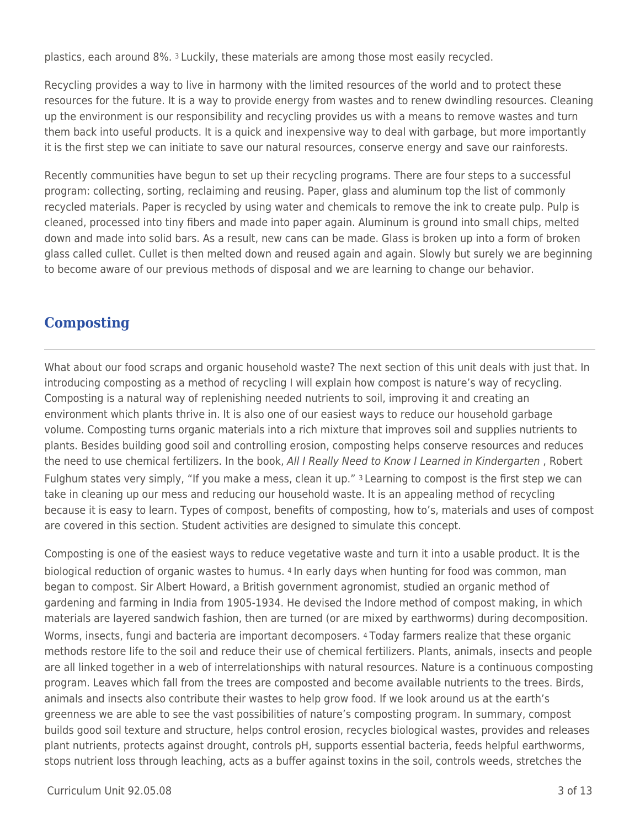plastics, each around 8%. 3 Luckily, these materials are among those most easily recycled.

Recycling provides a way to live in harmony with the limited resources of the world and to protect these resources for the future. It is a way to provide energy from wastes and to renew dwindling resources. Cleaning up the environment is our responsibility and recycling provides us with a means to remove wastes and turn them back into useful products. It is a quick and inexpensive way to deal with garbage, but more importantly it is the first step we can initiate to save our natural resources, conserve energy and save our rainforests.

Recently communities have begun to set up their recycling programs. There are four steps to a successful program: collecting, sorting, reclaiming and reusing. Paper, glass and aluminum top the list of commonly recycled materials. Paper is recycled by using water and chemicals to remove the ink to create pulp. Pulp is cleaned, processed into tiny fibers and made into paper again. Aluminum is ground into small chips, melted down and made into solid bars. As a result, new cans can be made. Glass is broken up into a form of broken glass called cullet. Cullet is then melted down and reused again and again. Slowly but surely we are beginning to become aware of our previous methods of disposal and we are learning to change our behavior.

## **Composting**

What about our food scraps and organic household waste? The next section of this unit deals with just that. In introducing composting as a method of recycling I will explain how compost is nature's way of recycling. Composting is a natural way of replenishing needed nutrients to soil, improving it and creating an environment which plants thrive in. It is also one of our easiest ways to reduce our household garbage volume. Composting turns organic materials into a rich mixture that improves soil and supplies nutrients to plants. Besides building good soil and controlling erosion, composting helps conserve resources and reduces the need to use chemical fertilizers. In the book, All I Really Need to Know I Learned in Kindergarten, Robert Fulghum states very simply, "If you make a mess, clean it up." 3 Learning to compost is the first step we can take in cleaning up our mess and reducing our household waste. It is an appealing method of recycling because it is easy to learn. Types of compost, benefits of composting, how to's, materials and uses of compost are covered in this section. Student activities are designed to simulate this concept.

Composting is one of the easiest ways to reduce vegetative waste and turn it into a usable product. It is the biological reduction of organic wastes to humus. 4 In early days when hunting for food was common, man began to compost. Sir Albert Howard, a British government agronomist, studied an organic method of gardening and farming in India from 1905-1934. He devised the Indore method of compost making, in which materials are layered sandwich fashion, then are turned (or are mixed by earthworms) during decomposition. Worms, insects, fungi and bacteria are important decomposers. 4 Today farmers realize that these organic methods restore life to the soil and reduce their use of chemical fertilizers. Plants, animals, insects and people are all linked together in a web of interrelationships with natural resources. Nature is a continuous composting program. Leaves which fall from the trees are composted and become available nutrients to the trees. Birds, animals and insects also contribute their wastes to help grow food. If we look around us at the earth's greenness we are able to see the vast possibilities of nature's composting program. In summary, compost builds good soil texture and structure, helps control erosion, recycles biological wastes, provides and releases plant nutrients, protects against drought, controls pH, supports essential bacteria, feeds helpful earthworms, stops nutrient loss through leaching, acts as a buffer against toxins in the soil, controls weeds, stretches the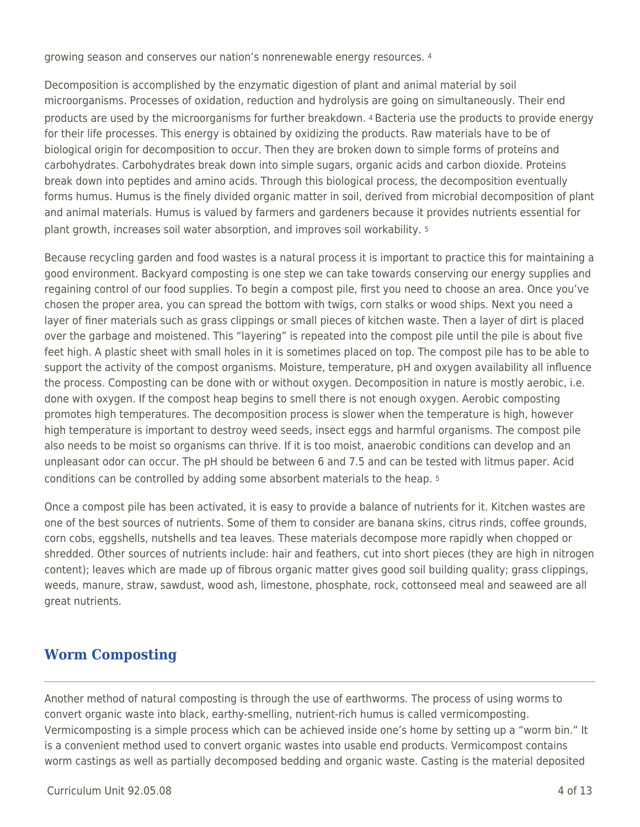growing season and conserves our nation's nonrenewable energy resources. <sup>4</sup>

Decomposition is accomplished by the enzymatic digestion of plant and animal material by soil microorganisms. Processes of oxidation, reduction and hydrolysis are going on simultaneously. Their end products are used by the microorganisms for further breakdown. 4 Bacteria use the products to provide energy for their life processes. This energy is obtained by oxidizing the products. Raw materials have to be of biological origin for decomposition to occur. Then they are broken down to simple forms of proteins and carbohydrates. Carbohydrates break down into simple sugars, organic acids and carbon dioxide. Proteins break down into peptides and amino acids. Through this biological process, the decomposition eventually forms humus. Humus is the finely divided organic matter in soil, derived from microbial decomposition of plant and animal materials. Humus is valued by farmers and gardeners because it provides nutrients essential for plant growth, increases soil water absorption, and improves soil workability. <sup>5</sup>

Because recycling garden and food wastes is a natural process it is important to practice this for maintaining a good environment. Backyard composting is one step we can take towards conserving our energy supplies and regaining control of our food supplies. To begin a compost pile, first you need to choose an area. Once you've chosen the proper area, you can spread the bottom with twigs, corn stalks or wood ships. Next you need a layer of finer materials such as grass clippings or small pieces of kitchen waste. Then a layer of dirt is placed over the garbage and moistened. This "layering" is repeated into the compost pile until the pile is about five feet high. A plastic sheet with small holes in it is sometimes placed on top. The compost pile has to be able to support the activity of the compost organisms. Moisture, temperature, pH and oxygen availability all influence the process. Composting can be done with or without oxygen. Decomposition in nature is mostly aerobic, i.e. done with oxygen. If the compost heap begins to smell there is not enough oxygen. Aerobic composting promotes high temperatures. The decomposition process is slower when the temperature is high, however high temperature is important to destroy weed seeds, insect eggs and harmful organisms. The compost pile also needs to be moist so organisms can thrive. If it is too moist, anaerobic conditions can develop and an unpleasant odor can occur. The pH should be between 6 and 7.5 and can be tested with litmus paper. Acid conditions can be controlled by adding some absorbent materials to the heap. <sup>5</sup>

Once a compost pile has been activated, it is easy to provide a balance of nutrients for it. Kitchen wastes are one of the best sources of nutrients. Some of them to consider are banana skins, citrus rinds, coffee grounds, corn cobs, eggshells, nutshells and tea leaves. These materials decompose more rapidly when chopped or shredded. Other sources of nutrients include: hair and feathers, cut into short pieces (they are high in nitrogen content); leaves which are made up of fibrous organic matter gives good soil building quality; grass clippings, weeds, manure, straw, sawdust, wood ash, limestone, phosphate, rock, cottonseed meal and seaweed are all great nutrients.

## **Worm Composting**

Another method of natural composting is through the use of earthworms. The process of using worms to convert organic waste into black, earthy-smelling, nutrient-rich humus is called vermicomposting. Vermicomposting is a simple process which can be achieved inside one's home by setting up a "worm bin." It is a convenient method used to convert organic wastes into usable end products. Vermicompost contains worm castings as well as partially decomposed bedding and organic waste. Casting is the material deposited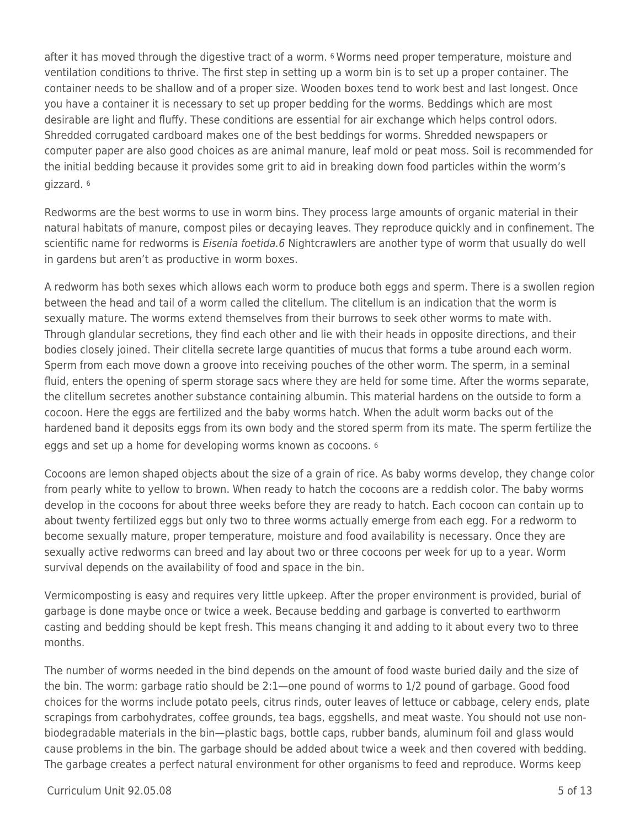after it has moved through the digestive tract of a worm. 6 Worms need proper temperature, moisture and ventilation conditions to thrive. The first step in setting up a worm bin is to set up a proper container. The container needs to be shallow and of a proper size. Wooden boxes tend to work best and last longest. Once you have a container it is necessary to set up proper bedding for the worms. Beddings which are most desirable are light and fluffy. These conditions are essential for air exchange which helps control odors. Shredded corrugated cardboard makes one of the best beddings for worms. Shredded newspapers or computer paper are also good choices as are animal manure, leaf mold or peat moss. Soil is recommended for the initial bedding because it provides some grit to aid in breaking down food particles within the worm's gizzard. <sup>6</sup>

Redworms are the best worms to use in worm bins. They process large amounts of organic material in their natural habitats of manure, compost piles or decaying leaves. They reproduce quickly and in confinement. The scientific name for redworms is *Eisenia foetida.6* Nightcrawlers are another type of worm that usually do well in gardens but aren't as productive in worm boxes.

A redworm has both sexes which allows each worm to produce both eggs and sperm. There is a swollen region between the head and tail of a worm called the clitellum. The clitellum is an indication that the worm is sexually mature. The worms extend themselves from their burrows to seek other worms to mate with. Through glandular secretions, they find each other and lie with their heads in opposite directions, and their bodies closely joined. Their clitella secrete large quantities of mucus that forms a tube around each worm. Sperm from each move down a groove into receiving pouches of the other worm. The sperm, in a seminal fluid, enters the opening of sperm storage sacs where they are held for some time. After the worms separate, the clitellum secretes another substance containing albumin. This material hardens on the outside to form a cocoon. Here the eggs are fertilized and the baby worms hatch. When the adult worm backs out of the hardened band it deposits eggs from its own body and the stored sperm from its mate. The sperm fertilize the eggs and set up a home for developing worms known as cocoons. <sup>6</sup>

Cocoons are lemon shaped objects about the size of a grain of rice. As baby worms develop, they change color from pearly white to yellow to brown. When ready to hatch the cocoons are a reddish color. The baby worms develop in the cocoons for about three weeks before they are ready to hatch. Each cocoon can contain up to about twenty fertilized eggs but only two to three worms actually emerge from each egg. For a redworm to become sexually mature, proper temperature, moisture and food availability is necessary. Once they are sexually active redworms can breed and lay about two or three cocoons per week for up to a year. Worm survival depends on the availability of food and space in the bin.

Vermicomposting is easy and requires very little upkeep. After the proper environment is provided, burial of garbage is done maybe once or twice a week. Because bedding and garbage is converted to earthworm casting and bedding should be kept fresh. This means changing it and adding to it about every two to three months.

The number of worms needed in the bind depends on the amount of food waste buried daily and the size of the bin. The worm: garbage ratio should be 2:1—one pound of worms to 1/2 pound of garbage. Good food choices for the worms include potato peels, citrus rinds, outer leaves of lettuce or cabbage, celery ends, plate scrapings from carbohydrates, coffee grounds, tea bags, eggshells, and meat waste. You should not use nonbiodegradable materials in the bin—plastic bags, bottle caps, rubber bands, aluminum foil and glass would cause problems in the bin. The garbage should be added about twice a week and then covered with bedding. The garbage creates a perfect natural environment for other organisms to feed and reproduce. Worms keep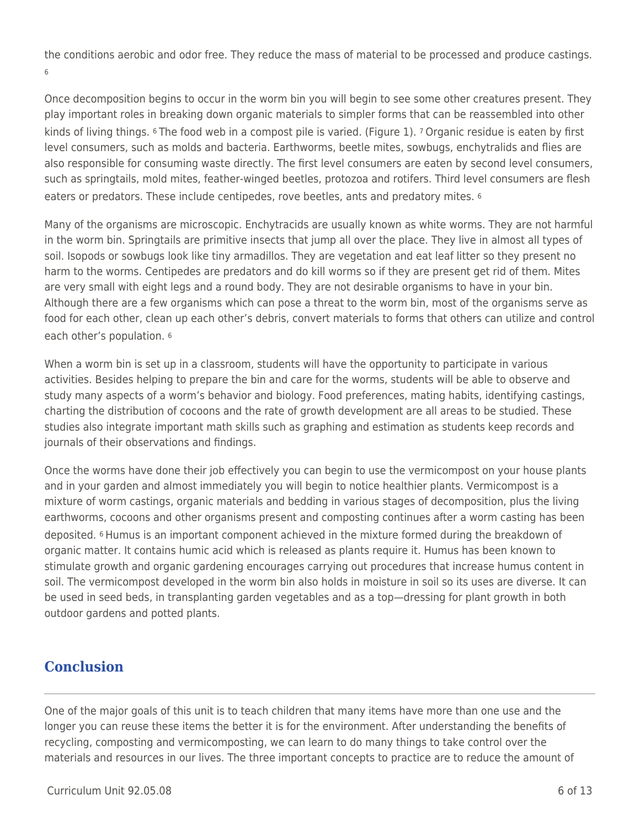the conditions aerobic and odor free. They reduce the mass of material to be processed and produce castings. 6

Once decomposition begins to occur in the worm bin you will begin to see some other creatures present. They play important roles in breaking down organic materials to simpler forms that can be reassembled into other kinds of living things. 6 The food web in a compost pile is varied. (Figure 1). 7 Organic residue is eaten by first level consumers, such as molds and bacteria. Earthworms, beetle mites, sowbugs, enchytralids and flies are also responsible for consuming waste directly. The first level consumers are eaten by second level consumers, such as springtails, mold mites, feather-winged beetles, protozoa and rotifers. Third level consumers are flesh eaters or predators. These include centipedes, rove beetles, ants and predatory mites. <sup>6</sup>

Many of the organisms are microscopic. Enchytracids are usually known as white worms. They are not harmful in the worm bin. Springtails are primitive insects that jump all over the place. They live in almost all types of soil. Isopods or sowbugs look like tiny armadillos. They are vegetation and eat leaf litter so they present no harm to the worms. Centipedes are predators and do kill worms so if they are present get rid of them. Mites are very small with eight legs and a round body. They are not desirable organisms to have in your bin. Although there are a few organisms which can pose a threat to the worm bin, most of the organisms serve as food for each other, clean up each other's debris, convert materials to forms that others can utilize and control each other's population. <sup>6</sup>

When a worm bin is set up in a classroom, students will have the opportunity to participate in various activities. Besides helping to prepare the bin and care for the worms, students will be able to observe and study many aspects of a worm's behavior and biology. Food preferences, mating habits, identifying castings, charting the distribution of cocoons and the rate of growth development are all areas to be studied. These studies also integrate important math skills such as graphing and estimation as students keep records and journals of their observations and findings.

Once the worms have done their job effectively you can begin to use the vermicompost on your house plants and in your garden and almost immediately you will begin to notice healthier plants. Vermicompost is a mixture of worm castings, organic materials and bedding in various stages of decomposition, plus the living earthworms, cocoons and other organisms present and composting continues after a worm casting has been deposited. 6 Humus is an important component achieved in the mixture formed during the breakdown of organic matter. It contains humic acid which is released as plants require it. Humus has been known to stimulate growth and organic gardening encourages carrying out procedures that increase humus content in soil. The vermicompost developed in the worm bin also holds in moisture in soil so its uses are diverse. It can be used in seed beds, in transplanting garden vegetables and as a top—dressing for plant growth in both outdoor gardens and potted plants.

## **Conclusion**

One of the major goals of this unit is to teach children that many items have more than one use and the longer you can reuse these items the better it is for the environment. After understanding the benefits of recycling, composting and vermicomposting, we can learn to do many things to take control over the materials and resources in our lives. The three important concepts to practice are to reduce the amount of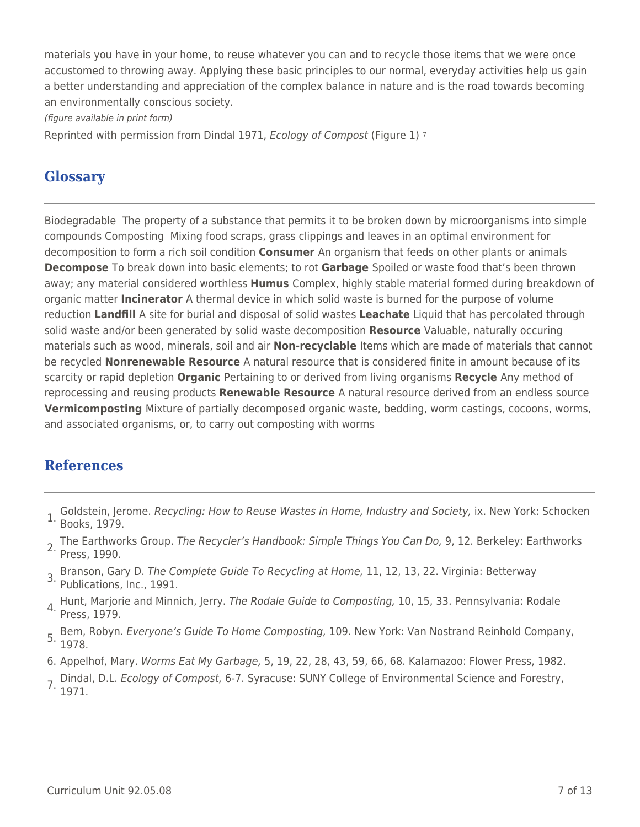materials you have in your home, to reuse whatever you can and to recycle those items that we were once accustomed to throwing away. Applying these basic principles to our normal, everyday activities help us gain a better understanding and appreciation of the complex balance in nature and is the road towards becoming an environmentally conscious society.

(figure available in print form)

Reprinted with permission from Dindal 1971, Ecology of Compost (Figure 1) <sup>7</sup>

## **Glossary**

Biodegradable The property of a substance that permits it to be broken down by microorganisms into simple compounds Composting Mixing food scraps, grass clippings and leaves in an optimal environment for decomposition to form a rich soil condition **Consumer** An organism that feeds on other plants or animals **Decompose** To break down into basic elements; to rot **Garbage** Spoiled or waste food that's been thrown away; any material considered worthless **Humus** Complex, highly stable material formed during breakdown of organic matter **Incinerator** A thermal device in which solid waste is burned for the purpose of volume reduction **Landfill** A site for burial and disposal of solid wastes **Leachate** Liquid that has percolated through solid waste and/or been generated by solid waste decomposition **Resource** Valuable, naturally occuring materials such as wood, minerals, soil and air **Non-recyclable** Items which are made of materials that cannot be recycled **Nonrenewable Resource** A natural resource that is considered finite in amount because of its scarcity or rapid depletion **Organic** Pertaining to or derived from living organisms **Recycle** Any method of reprocessing and reusing products **Renewable Resource** A natural resource derived from an endless source **Vermicomposting** Mixture of partially decomposed organic waste, bedding, worm castings, cocoons, worms, and associated organisms, or, to carry out composting with worms

## **References**

- 1. Goldstein, Jerome. Recycling: How to Reuse Wastes in Home, Industry and Society, ix. New York: Schocken Books, 1979.
- 2. The Earthworks Group. The Recycler's Handbook: Simple Things You Can Do, 9, 12. Berkeley: Earthworks Press, 1990.
- Branson, Gary D. The Complete Guide To Recycling at Home, 11, 12, 13, 22. Virginia: Betterway 3. Publications, Inc., 1991.
- 4. Hunt, Marjorie and Minnich, Jerry. The Rodale Guide to Composting, 10, 15, 33. Pennsylvania: Rodale<br><sup>4.</sup> Press, 1979.
- 5. Bem, Robyn. Everyone's Guide To Home Composting, 109. New York: Van Nostrand Reinhold Company,  $5. \frac{1}{1978}$ .
- 6. Appelhof, Mary. Worms Eat My Garbage, 5, 19, 22, 28, 43, 59, 66, 68. Kalamazoo: Flower Press, 1982.
- 7. Dindal, D.L. Ecology of Compost, 6-7. Syracuse: SUNY College of Environmental Science and Forestry, 1971.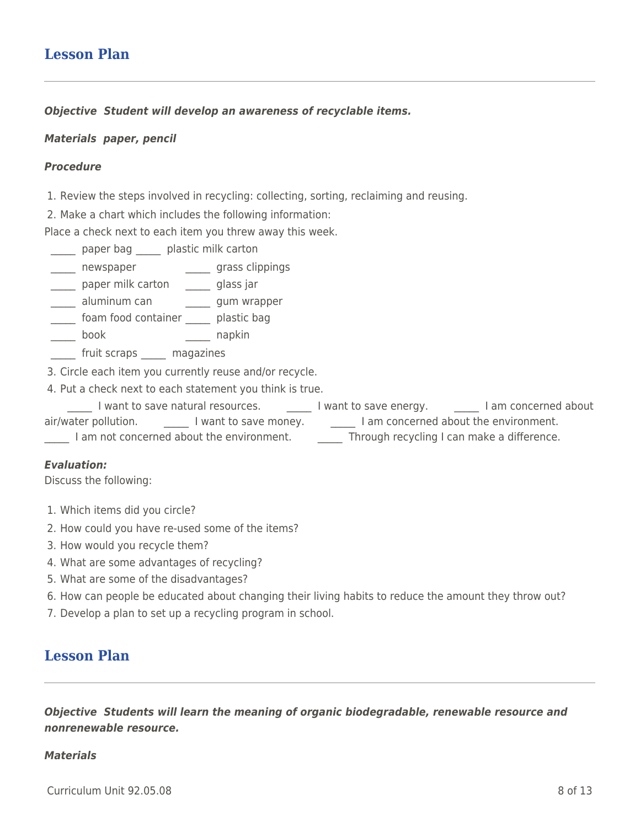## **Lesson Plan**

*Objective Student will develop an awareness of recyclable items.*

#### *Materials paper, pencil*

#### *Procedure*

1. Review the steps involved in recycling: collecting, sorting, reclaiming and reusing.

2. Make a chart which includes the following information:

Place a check next to each item you threw away this week.

\_\_\_\_\_ paper bag \_\_\_\_\_ plastic milk carton

\_\_\_\_\_ newspaper \_\_\_\_\_\_ grass clippings

\_\_\_\_\_ paper milk carton \_\_\_\_\_ glass jar

\_\_\_\_\_ aluminum can \_\_\_\_\_\_ gum wrapper

foam food container \_\_\_\_\_\_\_ plastic bag

\_\_\_\_\_ book \_\_\_\_\_ napkin

fruit scraps \_\_\_\_\_ magazines

3. Circle each item you currently reuse and/or recycle.

4. Put a check next to each statement you think is true.

Lettuant to save natural resources. Lettuant I want to save energy. Lettuan I am concerned about air/water pollution. \_\_\_\_\_\_\_\_\_ I want to save money. \_\_\_\_\_\_\_\_\_\_\_\_ I am concerned about the environment. I am not concerned about the environment. Through recycling I can make a difference.

#### *Evaluation:*

Discuss the following:

- 1. Which items did you circle?
- 2. How could you have re-used some of the items?
- 3. How would you recycle them?
- 4. What are some advantages of recycling?
- 5. What are some of the disadvantages?
- 6. How can people be educated about changing their living habits to reduce the amount they throw out?
- 7. Develop a plan to set up a recycling program in school.

## **Lesson Plan**

*Objective Students will learn the meaning of organic biodegradable, renewable resource and nonrenewable resource.*

#### *Materials*

 $C$ urriculum Unit 92.05.08  $\qquad \qquad$  8 of 13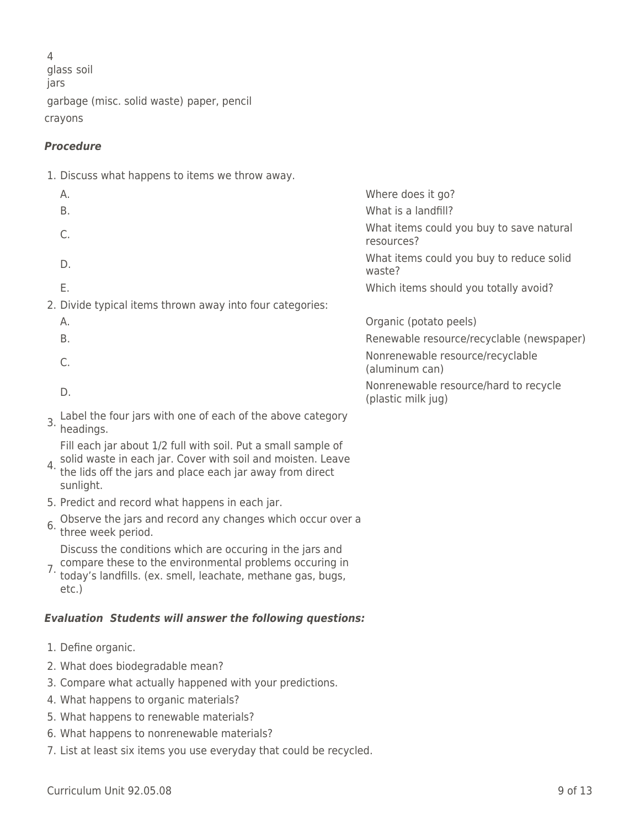4 glass soil jars garbage (misc. solid waste) paper, pencil crayons

### *Procedure*

1. Discuss what happens to items we throw away.

| А.                                                        | Where does it go?                                           |
|-----------------------------------------------------------|-------------------------------------------------------------|
| Β.                                                        | What is a landfill?                                         |
|                                                           | What items could you buy to save natural<br>resources?      |
| D.                                                        | What items could you buy to reduce solid<br>waste?          |
| Ε.                                                        | Which items should you totally avoid?                       |
| 2. Divide typical items thrown away into four categories: |                                                             |
| А.                                                        | Organic (potato peels)                                      |
| Β.                                                        | Renewable resource/recyclable (newspaper)                   |
|                                                           | Nonrenewable resource/recyclable<br>(aluminum can)          |
| D.                                                        | Nonrenewable resource/hard to recycle<br>(plastic milk jug) |
|                                                           |                                                             |

- 3. Label the four jars with one of each of the above category headings.
- Fill each jar about 1/2 full with soil. Put a small sample of solid waste in each jar. Cover with soil and moisten. Leave
- 4. the lids off the jars and place each jar away from direct sunlight.
- 5. Predict and record what happens in each jar.
- 6. Observe the jars and record any changes which occur over a three week period.
- Discuss the conditions which are occuring in the jars and
- 7. compare these to the environmental problems occuring in today's landfills. (ex. smell, leachate, methane gas, bugs, etc.)

### *Evaluation Students will answer the following questions:*

- 1. Define organic.
- 2. What does biodegradable mean?
- 3. Compare what actually happened with your predictions.
- 4. What happens to organic materials?
- 5. What happens to renewable materials?
- 6. What happens to nonrenewable materials?
- 7. List at least six items you use everyday that could be recycled.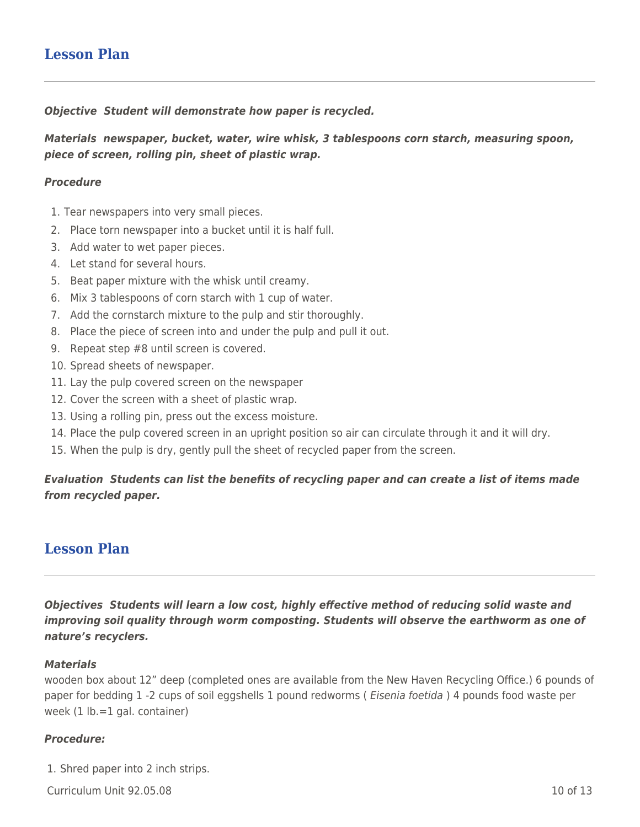## **Lesson Plan**

#### *Objective Student will demonstrate how paper is recycled.*

*Materials newspaper, bucket, water, wire whisk, 3 tablespoons corn starch, measuring spoon, piece of screen, rolling pin, sheet of plastic wrap.*

#### *Procedure*

- 1. Tear newspapers into very small pieces.
- 2. Place torn newspaper into a bucket until it is half full.
- 3. Add water to wet paper pieces.
- 4. Let stand for several hours.
- 5. Beat paper mixture with the whisk until creamy.
- 6. Mix 3 tablespoons of corn starch with 1 cup of water.
- 7. Add the cornstarch mixture to the pulp and stir thoroughly.
- 8. Place the piece of screen into and under the pulp and pull it out.
- 9. Repeat step #8 until screen is covered.
- 10. Spread sheets of newspaper.
- 11. Lay the pulp covered screen on the newspaper
- 12. Cover the screen with a sheet of plastic wrap.
- 13. Using a rolling pin, press out the excess moisture.
- 14. Place the pulp covered screen in an upright position so air can circulate through it and it will dry.
- 15. When the pulp is dry, gently pull the sheet of recycled paper from the screen.

### *Evaluation Students can list the benefits of recycling paper and can create a list of items made from recycled paper.*

### **Lesson Plan**

*Objectives Students will learn a low cost, highly effective method of reducing solid waste and improving soil quality through worm composting. Students will observe the earthworm as one of nature's recyclers.*

#### *Materials*

wooden box about 12" deep (completed ones are available from the New Haven Recycling Office.) 6 pounds of paper for bedding 1 -2 cups of soil eggshells 1 pound redworms (*Eisenia foetida*) 4 pounds food waste per week (1 lb.=1 gal. container)

#### *Procedure:*

1. Shred paper into 2 inch strips.

 $C$ urriculum Unit 92.05.08 10 of 13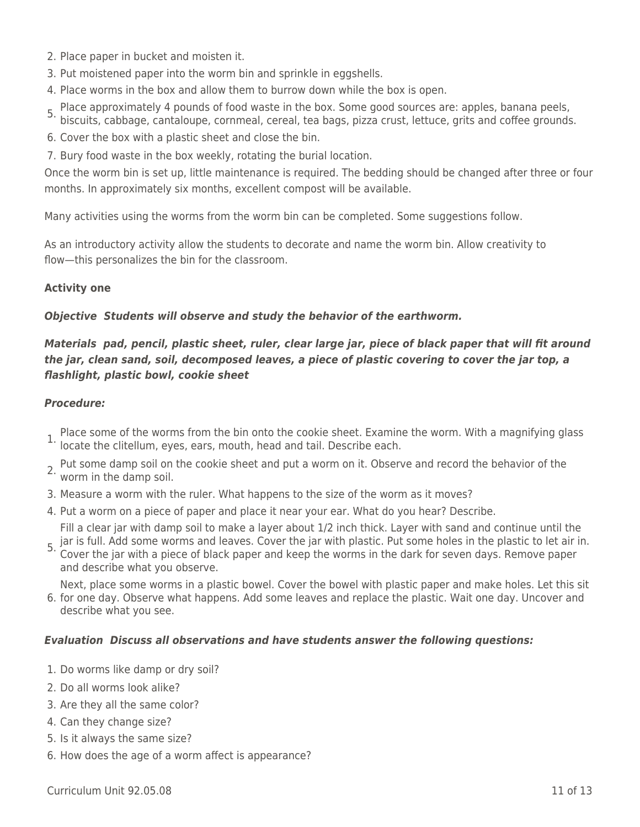- 2. Place paper in bucket and moisten it.
- 3. Put moistened paper into the worm bin and sprinkle in eggshells.
- 4. Place worms in the box and allow them to burrow down while the box is open.
- 5. Place approximately 4 pounds of food waste in the box. Some good sources are: apples, banana peels,
- biscuits, cabbage, cantaloupe, cornmeal, cereal, tea bags, pizza crust, lettuce, grits and coffee grounds.
- 6. Cover the box with a plastic sheet and close the bin.
- 7. Bury food waste in the box weekly, rotating the burial location.

Once the worm bin is set up, little maintenance is required. The bedding should be changed after three or four months. In approximately six months, excellent compost will be available.

Many activities using the worms from the worm bin can be completed. Some suggestions follow.

As an introductory activity allow the students to decorate and name the worm bin. Allow creativity to flow—this personalizes the bin for the classroom.

### **Activity one**

### *Objective Students will observe and study the behavior of the earthworm.*

### *Materials pad, pencil, plastic sheet, ruler, clear large jar, piece of black paper that will fit around the jar, clean sand, soil, decomposed leaves, a piece of plastic covering to cover the jar top, a flashlight, plastic bowl, cookie sheet*

### *Procedure:*

- Place some of the worms from the bin onto the cookie sheet. Examine the worm. With a magnifying glass 1. Place sollie of the worlds from the surface of the client.<br>In locate the clitellum, eyes, ears, mouth, head and tail. Describe each.
- 2. Put some damp soil on the cookie sheet and put a worm on it. Observe and record the behavior of the worm in the damp soil.
- 3. Measure a worm with the ruler. What happens to the size of the worm as it moves?
- 4. Put a worm on a piece of paper and place it near your ear. What do you hear? Describe.

5. jar is full. Add some worms and leaves. Cover the jar with plastic. Put some holes in the plastic to let air in.<br>5. Cover the iar with a niece of black paper and keep the werms in the dark for soven days. Remove paper. Fill a clear jar with damp soil to make a layer about 1/2 inch thick. Layer with sand and continue until the

Cover the jar with a piece of black paper and keep the worms in the dark for seven days. Remove paper and describe what you observe.

Next, place some worms in a plastic bowel. Cover the bowel with plastic paper and make holes. Let this sit

6. for one day. Observe what happens. Add some leaves and replace the plastic. Wait one day. Uncover and describe what you see.

### *Evaluation Discuss all observations and have students answer the following questions:*

- 1. Do worms like damp or dry soil?
- 2. Do all worms look alike?
- 3. Are they all the same color?
- 4. Can they change size?
- 5. Is it always the same size?
- 6. How does the age of a worm affect is appearance?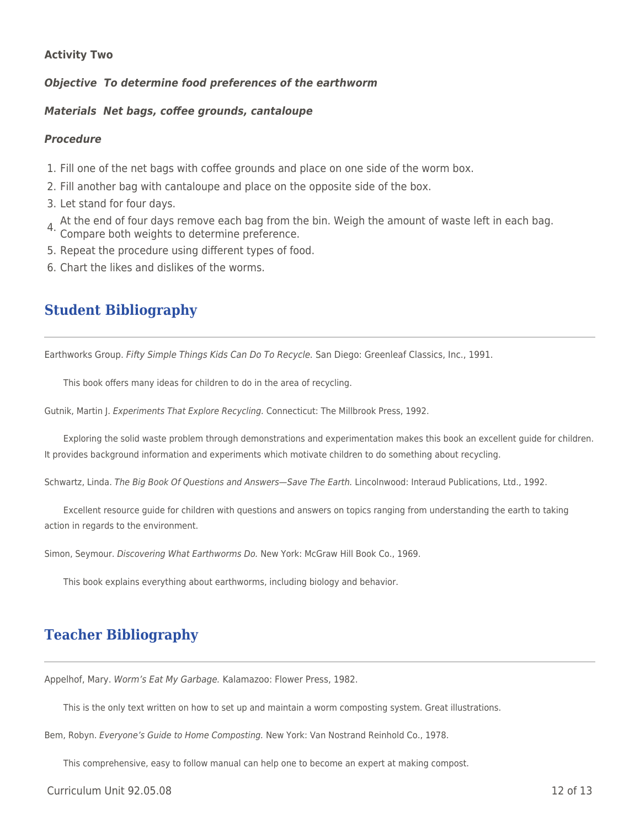### **Activity Two**

*Objective To determine food preferences of the earthworm*

#### *Materials Net bags, coffee grounds, cantaloupe*

#### *Procedure*

- 1. Fill one of the net bags with coffee grounds and place on one side of the worm box.
- 2. Fill another bag with cantaloupe and place on the opposite side of the box.
- 3. Let stand for four days.
- 4. At the end of four days remove each bag from the bin. Weigh the amount of waste left in each bag. Compare both weights to determine preference.
- 5. Repeat the procedure using different types of food.
- 6. Chart the likes and dislikes of the worms.

# **Student Bibliography**

Earthworks Group. Fifty Simple Things Kids Can Do To Recycle. San Diego: Greenleaf Classics, Inc., 1991.

This book offers many ideas for children to do in the area of recycling.

Gutnik, Martin J. Experiments That Explore Recycling. Connecticut: The Millbrook Press, 1992.

Exploring the solid waste problem through demonstrations and experimentation makes this book an excellent guide for children. It provides background information and experiments which motivate children to do something about recycling.

Schwartz, Linda. The Big Book Of Questions and Answers—Save The Earth. Lincolnwood: Interaud Publications, Ltd., 1992.

Excellent resource guide for children with questions and answers on topics ranging from understanding the earth to taking action in regards to the environment.

Simon, Seymour. Discovering What Earthworms Do. New York: McGraw Hill Book Co., 1969.

This book explains everything about earthworms, including biology and behavior.

# **Teacher Bibliography**

Appelhof, Mary. Worm's Eat My Garbage. Kalamazoo: Flower Press, 1982.

This is the only text written on how to set up and maintain a worm composting system. Great illustrations.

Bem, Robyn. Everyone's Guide to Home Composting. New York: Van Nostrand Reinhold Co., 1978.

This comprehensive, easy to follow manual can help one to become an expert at making compost.

Curriculum Unit 92.05.08 12 of 13